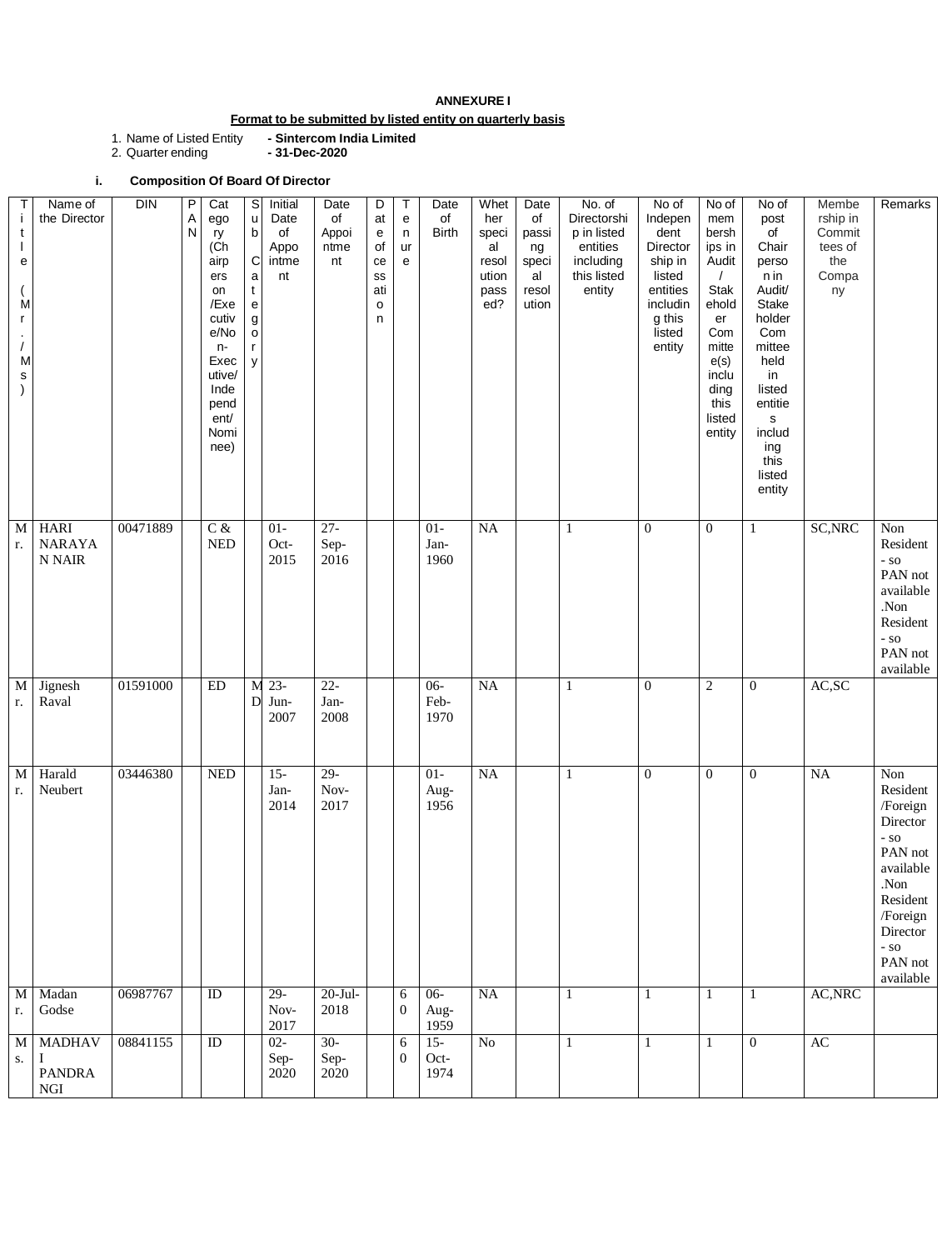# **ANNEXURE I**

## **Format to be submitted by listed entity on quarterly basis**

1. Name of Listed Entity **- Sintercom India Limited**

1. Name of Listed Entity<br>2. Quarter ending

**i. Composition Of Board Of Director** 

| Τ<br>$\mathbf{i}$<br>t<br>е<br>M<br>r.<br>M<br>$\mathsf{s}$<br>$\mathcal{E}$ | Name of<br>the Director                              | <b>DIN</b> | $\sf P$<br>A<br>$\mathsf{N}$ | Cat<br>ego<br>ry<br>(Ch<br>airp<br>ers<br>on<br>/Exe<br>cutiv<br>e/No<br>$n-$<br>Exec<br>utive/<br>Inde<br>pend<br>ent/<br>Nomi<br>nee) | $\mathsf S$<br>u<br>b<br>C<br>$\mathsf a$<br>t<br>е<br>g<br>o | Initial<br>Date<br>of<br>Appo<br>intme<br>nt | Date<br>of<br>Appoi<br>ntme<br>nt | D<br>at<br>$\mathsf{e}% _{t}\left( t\right)$<br>of<br>ce<br>SS<br>ati<br>$\mathsf{o}$<br>n | T<br>e<br>n<br>ur<br>e | Date<br>of<br><b>Birth</b> | Whet<br>her<br>speci<br>al<br>resol<br>ution<br>pass<br>ed? | Date<br>of<br>passi<br>ng<br>speci<br>al<br>resol<br>ution | No. of<br>Directorshi<br>p in listed<br>entities<br>including<br>this listed<br>entity | No of<br>Indepen<br>dent<br>Director<br>ship in<br>listed<br>entities<br>includin<br>g this<br>listed<br>entity | No of<br>mem<br>bersh<br>ips in<br>Audit<br>Stak<br>ehold<br>er<br>Com<br>mitte<br>e(s)<br>inclu<br>ding<br>this<br>listed<br>entity | No of<br>post<br>of<br>Chair<br>perso<br>n in<br>Audit/<br><b>Stake</b><br>holder<br>Com<br>mittee<br>held<br>in<br>listed<br>entitie<br>S<br>includ<br>ing<br>this<br>listed<br>entity | Membe<br>rship in<br>Commit<br>tees of<br>the<br>Compa<br>ny | Remarks                                                                                                                                                 |
|------------------------------------------------------------------------------|------------------------------------------------------|------------|------------------------------|-----------------------------------------------------------------------------------------------------------------------------------------|---------------------------------------------------------------|----------------------------------------------|-----------------------------------|--------------------------------------------------------------------------------------------|------------------------|----------------------------|-------------------------------------------------------------|------------------------------------------------------------|----------------------------------------------------------------------------------------|-----------------------------------------------------------------------------------------------------------------|--------------------------------------------------------------------------------------------------------------------------------------|-----------------------------------------------------------------------------------------------------------------------------------------------------------------------------------------|--------------------------------------------------------------|---------------------------------------------------------------------------------------------------------------------------------------------------------|
| M<br>r.                                                                      | <b>HARI</b><br><b>NARAYA</b><br>N NAIR               | 00471889   |                              | $C$ &<br><b>NED</b>                                                                                                                     |                                                               | $01-$<br>Oct-<br>2015                        | $27 -$<br>Sep-<br>2016            |                                                                                            |                        | $01-$<br>Jan-<br>1960      | NA                                                          |                                                            | $\mathbf{1}$                                                                           | $\boldsymbol{0}$                                                                                                | $\boldsymbol{0}$                                                                                                                     | 1                                                                                                                                                                                       | SC, NRC                                                      | Non<br>Resident<br>$-$ SO<br>PAN not<br>available<br>.Non<br>Resident<br>$-$ SO<br>PAN not<br>available                                                 |
| $\mathbf M$<br>r.                                                            | Jignesh<br>Raval                                     | 01591000   |                              | ED                                                                                                                                      | M<br>D                                                        | $23 -$<br>Jun-<br>2007                       | $22 -$<br>Jan-<br>2008            |                                                                                            |                        | $06 -$<br>Feb-<br>1970     | NA                                                          |                                                            | 1                                                                                      | $\boldsymbol{0}$                                                                                                | $\overline{2}$                                                                                                                       | $\boldsymbol{0}$                                                                                                                                                                        | AC,SC                                                        |                                                                                                                                                         |
| $\overline{M}$<br>r.                                                         | Harald<br>Neubert                                    | 03446380   |                              | <b>NED</b>                                                                                                                              |                                                               | $15 -$<br>Jan-<br>2014                       | $29-$<br>Nov-<br>2017             |                                                                                            |                        | $01 -$<br>Aug-<br>1956     | NA                                                          |                                                            | 1                                                                                      | $\mathbf{0}$                                                                                                    | $\overline{0}$                                                                                                                       | $\overline{0}$                                                                                                                                                                          | <b>NA</b>                                                    | Non<br>Resident<br>/Foreign<br>Director<br>$-$ SO<br>PAN not<br>available<br>.Non<br>Resident<br>/Foreign<br>Director<br>$-$ SO<br>PAN not<br>available |
| $\mathbf{M}$<br>r.                                                           | Madan<br>Godse                                       | 06987767   |                              | ID                                                                                                                                      |                                                               | $29-$<br>Nov-<br>2017                        | $20$ -Jul-<br>2018                |                                                                                            | 6<br>$\mathbf{0}$      | $06 -$<br>Aug-<br>1959     | $\rm NA$                                                    |                                                            | 1                                                                                      | $\mathbf{1}$                                                                                                    | $\mathbf{1}$                                                                                                                         | 1                                                                                                                                                                                       | AC, NRC                                                      |                                                                                                                                                         |
| $\mathbf M$<br>$S_{\star}$                                                   | <b>MADHAV</b><br>$\mathbf I$<br><b>PANDRA</b><br>NGI | 08841155   |                              | ID                                                                                                                                      |                                                               | $02 -$<br>Sep-<br>2020                       | $30-$<br>Sep-<br>2020             |                                                                                            | 6<br>$\mathbf{0}$      | $15 -$<br>Oct-<br>1974     | No                                                          |                                                            | $\mathbf{1}$                                                                           |                                                                                                                 | $\mathbf{1}$                                                                                                                         | $\boldsymbol{0}$                                                                                                                                                                        | AC                                                           |                                                                                                                                                         |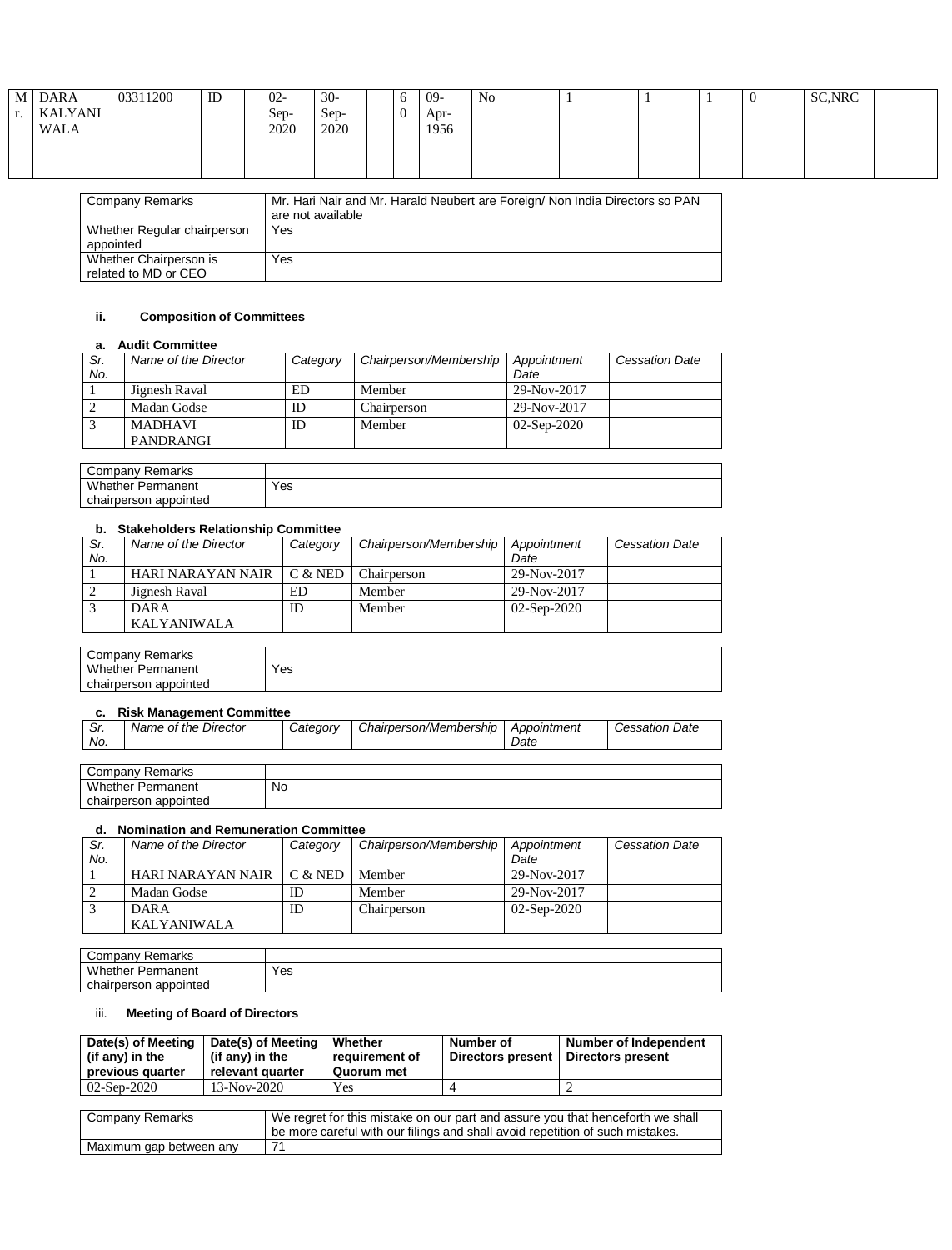| M DARA<br>KALYANI<br><b>WALA</b> | 03311200        | ID | $02 -$<br>Sep-<br>2020 | $30-$<br>$Sep-$<br>2020 | O | -09<br>Apr-<br>1956 | No |                                                                              |  | U | SC, NRC |  |
|----------------------------------|-----------------|----|------------------------|-------------------------|---|---------------------|----|------------------------------------------------------------------------------|--|---|---------|--|
|                                  | Company Remarks |    |                        |                         |   |                     |    | Mr. Hari Nair and Mr. Harald Neubert are Foreign/ Non India Directors so PAN |  |   |         |  |

| <b>Company Remarks</b>                         | Mr. Hari Nair and Mr. Harald Neubert are Foreign/ Non India Directors so PAN<br>are not available |
|------------------------------------------------|---------------------------------------------------------------------------------------------------|
| Whether Regular chairperson<br>appointed       | Yes                                                                                               |
| Whether Chairperson is<br>related to MD or CEO | Yes                                                                                               |

## **ii. Composition of Committees**

### **a. Audit Committee**

| Sr.<br>No. | Name of the Director | Category | Chairperson/Membership | Appointment<br>Date | <b>Cessation Date</b> |
|------------|----------------------|----------|------------------------|---------------------|-----------------------|
|            | Jignesh Raval        | ED       | Member                 | 29-Nov-2017         |                       |
|            | Madan Godse          | ΙD       | Chairperson            | 29-Nov-2017         |                       |
|            | <b>MADHAVI</b>       | ID       | Member                 | $02-Sep-2020$       |                       |
|            | PANDRANGI            |          |                        |                     |                       |

| Company<br>Remarks       |     |
|--------------------------|-----|
| <b>Whether Permanent</b> | Yes |
| chairperson appointed    |     |

## **b. Stakeholders Relationship Committee**

| Sr. | Name of the Director | Category  | Chairperson/Membership | Appointment   | <b>Cessation Date</b> |
|-----|----------------------|-----------|------------------------|---------------|-----------------------|
| No. |                      |           |                        | Date          |                       |
|     | HARI NARAYAN NAIR    | $C &$ NED | Chairperson            | 29-Nov-2017   |                       |
|     | Jignesh Raval        | ED        | Member                 | 29-Nov-2017   |                       |
|     | DAR A                | ID        | Member                 | $02-Sep-2020$ |                       |
|     | KALYANIWALA          |           |                        |               |                       |

| Company Remarks          |     |
|--------------------------|-----|
| <b>Whether Permanent</b> | Yes |
| chairperson appointed    |     |

### **c. Risk Management Committee**

| Sr.<br>No. | Name of the Director     | Category | Chairperson/Membership | Appointment<br>Date | <b>Cessation Date</b> |
|------------|--------------------------|----------|------------------------|---------------------|-----------------------|
|            |                          |          |                        |                     |                       |
|            | Company Remarks          |          |                        |                     |                       |
|            | <b>Whether Permanent</b> | No       |                        |                     |                       |

# chairperson appointed **d. Nomination and Remuneration Committee**

| u.  | <b>TUTHING IN A THE INCLUST AND INCLUST</b> |          |                        |               |                       |  |  |  |
|-----|---------------------------------------------|----------|------------------------|---------------|-----------------------|--|--|--|
| Sr. | Name of the Director                        | Category | Chairperson/Membership | Appointment   | <b>Cessation Date</b> |  |  |  |
| No. |                                             |          |                        | Date          |                       |  |  |  |
|     | HARI NARAYAN NAIR                           | C & NED  | Member                 | 29-Nov-2017   |                       |  |  |  |
|     | Madan Godse                                 | ID       | Member                 | 29-Nov-2017   |                       |  |  |  |
|     | <b>DARA</b>                                 | ID       | Chairperson            | $02-Sep-2020$ |                       |  |  |  |
|     | <b>KALYANIWALA</b>                          |          |                        |               |                       |  |  |  |

| Company Remarks          |     |
|--------------------------|-----|
| <b>Whether Permanent</b> | Yes |
| chairperson appointed    |     |

## iii. **Meeting of Board of Directors**

| Date(s) of Meeting<br>$\vert$ (if any) in the<br>previous quarter | Date(s) of Meeting<br>(if any) in the<br>relevant quarter | Whether<br>requirement of<br>Quorum met | Number of<br>Directors present | <b>Number of Independent</b><br>Directors present |
|-------------------------------------------------------------------|-----------------------------------------------------------|-----------------------------------------|--------------------------------|---------------------------------------------------|
| $02$ -Sep-2020                                                    | 13-Nov-2020                                               | Yes                                     |                                |                                                   |

| Company Remarks         | We regret for this mistake on our part and assure you that henceforth we shall<br>be more careful with our filings and shall avoid repetition of such mistakes. |
|-------------------------|-----------------------------------------------------------------------------------------------------------------------------------------------------------------|
| Maximum gap between any | 71                                                                                                                                                              |